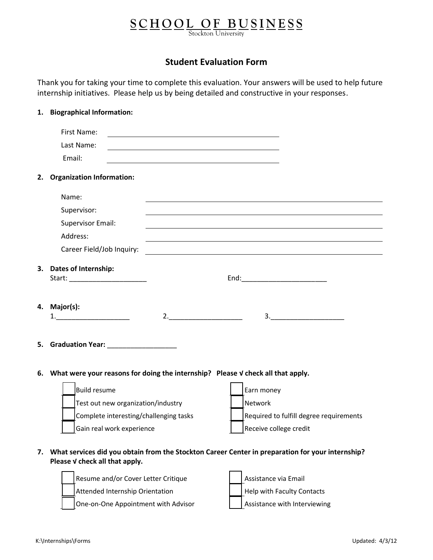## **S C H O O L O F B U S I N E S S** Stockton University

**Student Evaluation Form** 

Thank you for taking your time to complete this evaluation. Your answers will be used to help future internship initiatives. Please help us by being detailed and constructive in your responses.

|    | 1. Biographical Information:                                                       |                                                                                                                      |
|----|------------------------------------------------------------------------------------|----------------------------------------------------------------------------------------------------------------------|
|    | First Name:                                                                        | <u> 1989 - Johann Barbara, marka a shekara tsa 1989 - An tsa 1989 - An tsa 1989 - An tsa 1989 - An tsa 1989 - An</u> |
|    | Last Name:                                                                         | <u> 1989 - Johann Stoff, deutscher Stoff, der Stoff, der Stoff, der Stoff, der Stoff, der Stoff, der Stoff, der </u> |
|    | Email:                                                                             |                                                                                                                      |
| 2. | <b>Organization Information:</b>                                                   |                                                                                                                      |
|    | Name:                                                                              |                                                                                                                      |
|    | Supervisor:                                                                        |                                                                                                                      |
|    | <b>Supervisor Email:</b>                                                           |                                                                                                                      |
|    | Address:                                                                           | and the control of the control of the control of the control of the control of the control of the control of the     |
|    | Career Field/Job Inquiry:                                                          | <u> 1980 - Jan Alexandri, fizikar matematika (h. 1980).</u>                                                          |
|    | 3. Dates of Internship:                                                            |                                                                                                                      |
|    |                                                                                    | End:____________________________                                                                                     |
|    |                                                                                    |                                                                                                                      |
| 4. | Major(s):                                                                          |                                                                                                                      |
|    | $\begin{array}{c} \begin{array}{c} \hline \end{array} \end{array}$                 | 2.<br>$\overline{\mathbf{3.}}$                                                                                       |
|    |                                                                                    |                                                                                                                      |
|    |                                                                                    |                                                                                                                      |
|    |                                                                                    |                                                                                                                      |
|    | 6. What were your reasons for doing the internship? Please V check all that apply. |                                                                                                                      |
|    | <b>Build resume</b>                                                                | Earn money                                                                                                           |
|    | Test out new organization/industry                                                 | Network                                                                                                              |
|    | Complete interesting/challenging tasks                                             | Required to fulfill degree requirements                                                                              |
|    | Gain real work experience                                                          | Receive college credit                                                                                               |
|    |                                                                                    |                                                                                                                      |
| 7. | Please V check all that apply.                                                     | What services did you obtain from the Stockton Career Center in preparation for your internship?                     |
|    | Resume and/or Cover Letter Critique                                                | Assistance via Email                                                                                                 |
|    | Attended Internship Orientation                                                    | Help with Faculty Contacts                                                                                           |

One-on-One Appointment with Advisor  $\vert$  | Assistance with Interviewing